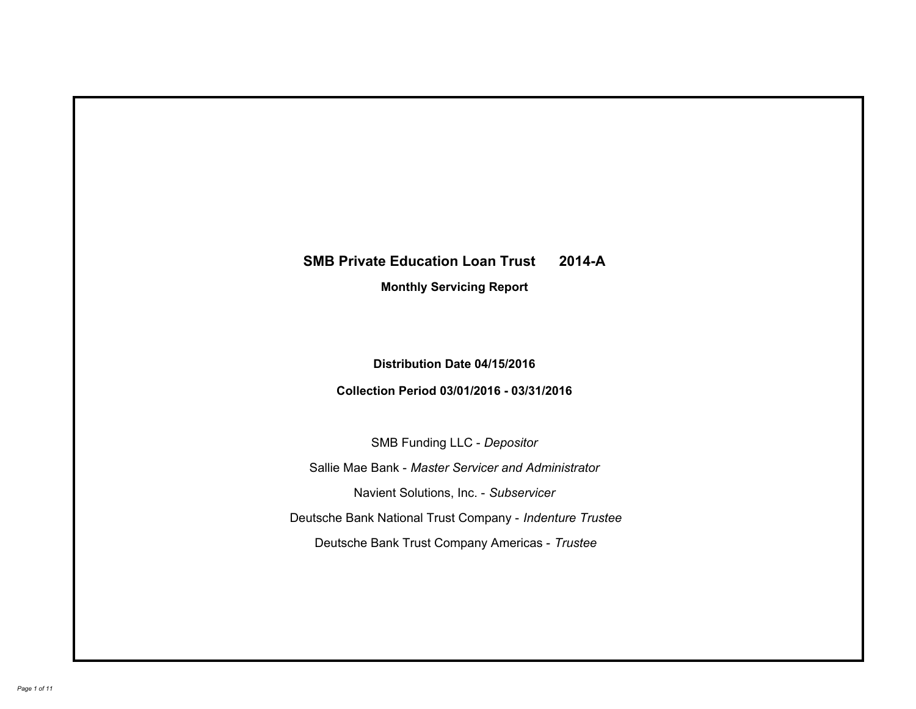# **SMB Private Education Loan Trust 2014-A Monthly Servicing Report**

# **Distribution Date 04/15/2016**

# **Collection Period 03/01/2016 - 03/31/2016**

SMB Funding LLC - *Depositor*

Sallie Mae Bank - *Master Servicer and Administrator*

Navient Solutions, Inc. - *Subservicer*

Deutsche Bank National Trust Company - *Indenture Trustee*

Deutsche Bank Trust Company Americas - *Trustee*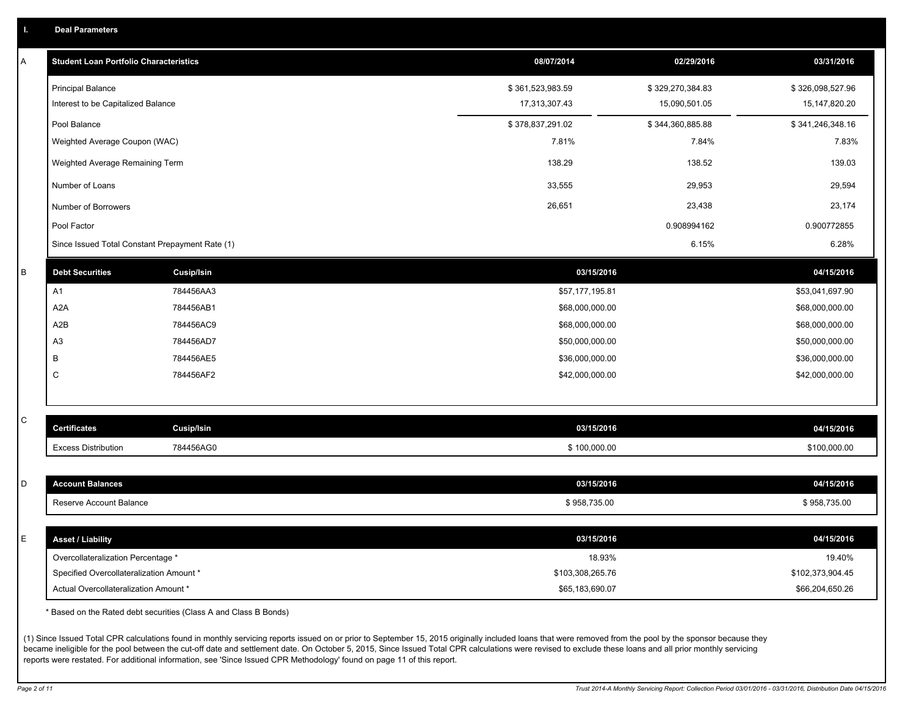|  |  |  | <b>Deal Parameters</b> |  |
|--|--|--|------------------------|--|
|--|--|--|------------------------|--|

| Α | <b>Student Loan Portfolio Characteristics</b>   |                   | 08/07/2014       | 02/29/2016       | 03/31/2016       |
|---|-------------------------------------------------|-------------------|------------------|------------------|------------------|
|   | <b>Principal Balance</b>                        |                   | \$361,523,983.59 | \$329,270,384.83 | \$326,098,527.96 |
|   | Interest to be Capitalized Balance              |                   | 17,313,307.43    | 15,090,501.05    | 15,147,820.20    |
|   | Pool Balance                                    |                   | \$378,837,291.02 | \$344,360,885.88 | \$341,246,348.16 |
|   | Weighted Average Coupon (WAC)                   |                   | 7.81%            | 7.84%            | 7.83%            |
|   | Weighted Average Remaining Term                 |                   | 138.29           | 138.52           | 139.03           |
|   | Number of Loans                                 |                   | 33,555           | 29,953           | 29,594           |
|   | Number of Borrowers                             |                   | 26,651           | 23,438           | 23,174           |
|   | Pool Factor                                     |                   |                  | 0.908994162      | 0.900772855      |
|   | Since Issued Total Constant Prepayment Rate (1) |                   |                  | 6.15%            | 6.28%            |
| B | <b>Debt Securities</b>                          | <b>Cusip/Isin</b> | 03/15/2016       |                  | 04/15/2016       |
|   | A1                                              | 784456AA3         | \$57,177,195.81  |                  | \$53,041,697.90  |
|   | A <sub>2</sub> A                                | 784456AB1         | \$68,000,000.00  |                  | \$68,000,000.00  |
|   | A <sub>2</sub> B                                | 784456AC9         | \$68,000,000.00  |                  | \$68,000,000.00  |
|   | A <sub>3</sub>                                  | 784456AD7         | \$50,000,000.00  |                  | \$50,000,000.00  |
|   | В                                               | 784456AE5         | \$36,000,000.00  |                  | \$36,000,000.00  |
|   | C                                               | 784456AF2         | \$42,000,000.00  |                  | \$42,000,000.00  |
|   |                                                 |                   |                  |                  |                  |
| C | <b>Certificates</b>                             | Cusip/Isin        | 03/15/2016       |                  | 04/15/2016       |
|   | <b>Excess Distribution</b>                      | 784456AG0         | \$100,000.00     |                  | \$100,000.00     |
|   |                                                 |                   |                  |                  |                  |
| D | <b>Account Balances</b>                         |                   | 03/15/2016       |                  | 04/15/2016       |
|   | Reserve Account Balance                         |                   | \$958,735.00     |                  | \$958,735.00     |
|   |                                                 |                   |                  |                  |                  |
| E | <b>Asset / Liability</b>                        |                   | 03/15/2016       |                  | 04/15/2016       |
|   | Overcollateralization Percentage *              |                   | 18.93%           |                  | 19.40%           |
|   | Specified Overcollateralization Amount *        |                   | \$103,308,265.76 |                  | \$102,373,904.45 |
|   | Actual Overcollateralization Amount *           |                   | \$65,183,690.07  |                  | \$66,204,650.26  |

\* Based on the Rated debt securities (Class A and Class B Bonds)

(1) Since Issued Total CPR calculations found in monthly servicing reports issued on or prior to September 15, 2015 originally included loans that were removed from the pool by the sponsor because they became ineligible for the pool between the cut-off date and settlement date. On October 5, 2015, Since Issued Total CPR calculations were revised to exclude these loans and all prior monthly servicing reports were restated. For additional information, see 'Since Issued CPR Methodology' found on page 11 of this report.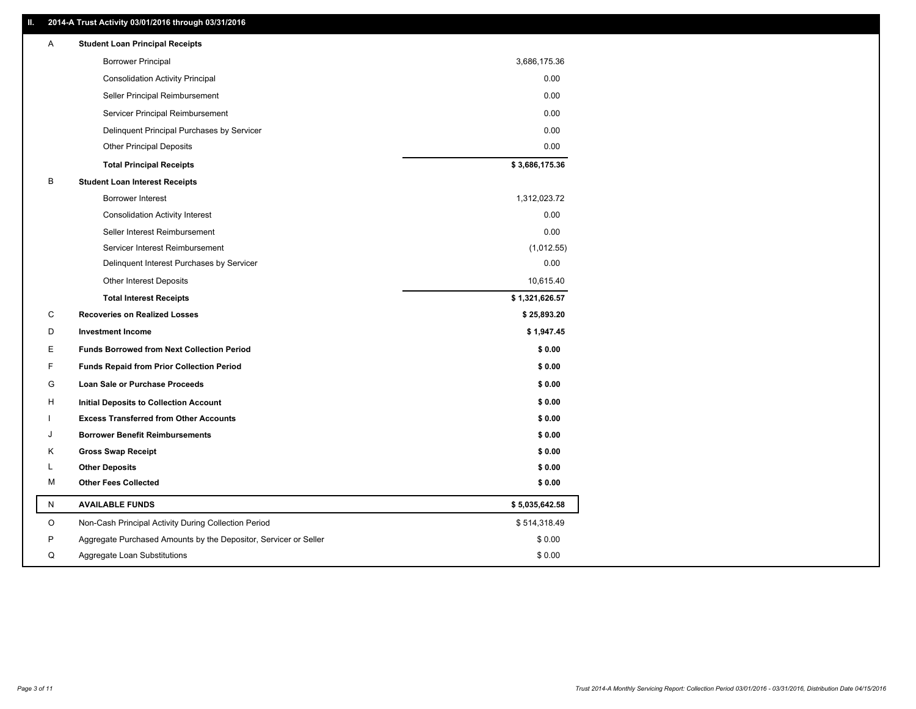### **II. 2014-A Trust Activity 03/01/2016 through 03/31/2016**

| Α | <b>Student Loan Principal Receipts</b>                           |                |
|---|------------------------------------------------------------------|----------------|
|   | <b>Borrower Principal</b>                                        | 3,686,175.36   |
|   | <b>Consolidation Activity Principal</b>                          | 0.00           |
|   | Seller Principal Reimbursement                                   | 0.00           |
|   | Servicer Principal Reimbursement                                 | 0.00           |
|   | Delinquent Principal Purchases by Servicer                       | 0.00           |
|   | <b>Other Principal Deposits</b>                                  | 0.00           |
|   | <b>Total Principal Receipts</b>                                  | \$3,686,175.36 |
| В | <b>Student Loan Interest Receipts</b>                            |                |
|   | <b>Borrower Interest</b>                                         | 1,312,023.72   |
|   | <b>Consolidation Activity Interest</b>                           | 0.00           |
|   | Seller Interest Reimbursement                                    | 0.00           |
|   | Servicer Interest Reimbursement                                  | (1,012.55)     |
|   | Delinquent Interest Purchases by Servicer                        | 0.00           |
|   | Other Interest Deposits                                          | 10,615.40      |
|   | <b>Total Interest Receipts</b>                                   | \$1,321,626.57 |
| С | <b>Recoveries on Realized Losses</b>                             | \$25,893.20    |
| D | <b>Investment Income</b>                                         | \$1,947.45     |
| Е | <b>Funds Borrowed from Next Collection Period</b>                | \$0.00         |
| F | <b>Funds Repaid from Prior Collection Period</b>                 | \$0.00         |
| G | Loan Sale or Purchase Proceeds                                   | \$0.00         |
| н | <b>Initial Deposits to Collection Account</b>                    | \$0.00         |
|   | <b>Excess Transferred from Other Accounts</b>                    | \$0.00         |
| J | <b>Borrower Benefit Reimbursements</b>                           | \$0.00         |
| Κ | <b>Gross Swap Receipt</b>                                        | \$0.00         |
| L | <b>Other Deposits</b>                                            | \$0.00         |
| М | <b>Other Fees Collected</b>                                      | \$0.00         |
| N | <b>AVAILABLE FUNDS</b>                                           | \$5,035,642.58 |
| O | Non-Cash Principal Activity During Collection Period             | \$514,318.49   |
| P | Aggregate Purchased Amounts by the Depositor, Servicer or Seller | \$0.00         |
| Q | Aggregate Loan Substitutions                                     | \$0.00         |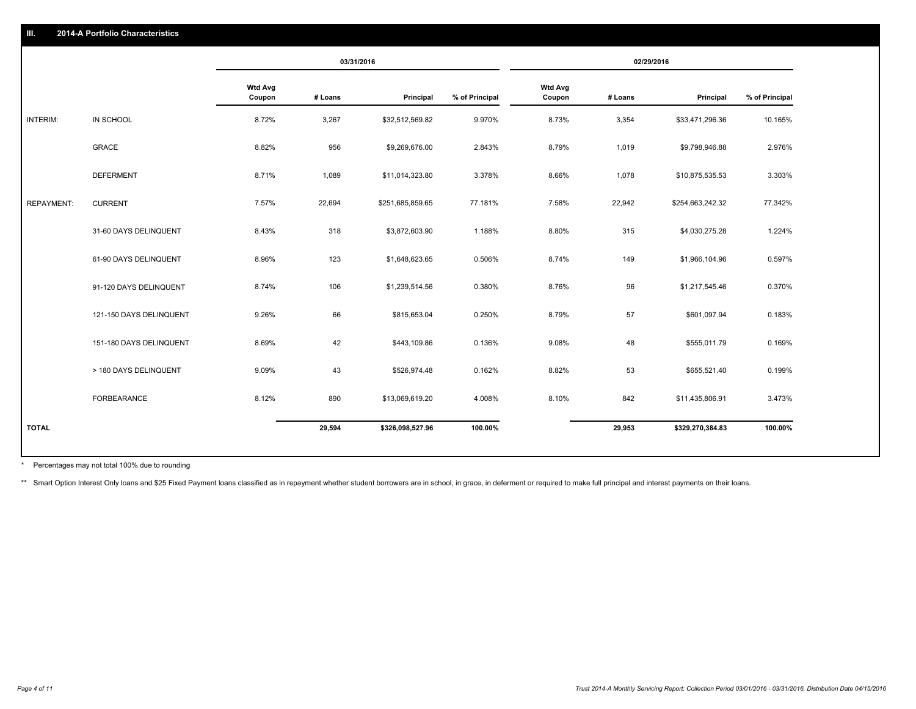|                   |                         |                          |         | 03/31/2016       |                | 02/29/2016               |         |                  |                |
|-------------------|-------------------------|--------------------------|---------|------------------|----------------|--------------------------|---------|------------------|----------------|
|                   |                         | <b>Wtd Avg</b><br>Coupon | # Loans | Principal        | % of Principal | <b>Wtd Avg</b><br>Coupon | # Loans | Principal        | % of Principal |
| INTERIM:          | IN SCHOOL               | 8.72%                    | 3,267   | \$32,512,569.82  | 9.970%         | 8.73%                    | 3,354   | \$33,471,296.36  | 10.165%        |
|                   | GRACE                   | 8.82%                    | 956     | \$9,269,676.00   | 2.843%         | 8.79%                    | 1,019   | \$9,798,946.88   | 2.976%         |
|                   | <b>DEFERMENT</b>        | 8.71%                    | 1,089   | \$11,014,323.80  | 3.378%         | 8.66%                    | 1,078   | \$10,875,535.53  | 3.303%         |
| <b>REPAYMENT:</b> | <b>CURRENT</b>          | 7.57%                    | 22,694  | \$251,685,859.65 | 77.181%        | 7.58%                    | 22,942  | \$254,663,242.32 | 77.342%        |
|                   | 31-60 DAYS DELINQUENT   | 8.43%                    | 318     | \$3,872,603.90   | 1.188%         | 8.80%                    | 315     | \$4,030,275.28   | 1.224%         |
|                   | 61-90 DAYS DELINQUENT   | 8.96%                    | 123     | \$1,648,623.65   | 0.506%         | 8.74%                    | 149     | \$1,966,104.96   | 0.597%         |
|                   | 91-120 DAYS DELINQUENT  | 8.74%                    | 106     | \$1,239,514.56   | 0.380%         | 8.76%                    | 96      | \$1,217,545.46   | 0.370%         |
|                   | 121-150 DAYS DELINQUENT | 9.26%                    | 66      | \$815,653.04     | 0.250%         | 8.79%                    | 57      | \$601,097.94     | 0.183%         |
|                   | 151-180 DAYS DELINQUENT | 8.69%                    | 42      | \$443,109.86     | 0.136%         | 9.08%                    | 48      | \$555,011.79     | 0.169%         |
|                   | > 180 DAYS DELINQUENT   | 9.09%                    | 43      | \$526,974.48     | 0.162%         | 8.82%                    | 53      | \$655,521.40     | 0.199%         |
|                   | FORBEARANCE             | 8.12%                    | 890     | \$13,069,619.20  | 4.008%         | 8.10%                    | 842     | \$11,435,806.91  | 3.473%         |
| <b>TOTAL</b>      |                         |                          | 29,594  | \$326,098,527.96 | 100.00%        |                          | 29,953  | \$329,270,384.83 | 100.00%        |

Percentages may not total 100% due to rounding \*

\*\* Smart Option Interest Only loans and \$25 Fixed Payment loans classified as in repayment whether student borrowers are in school, in grace, in deferment or required to make full principal and interest payments on their l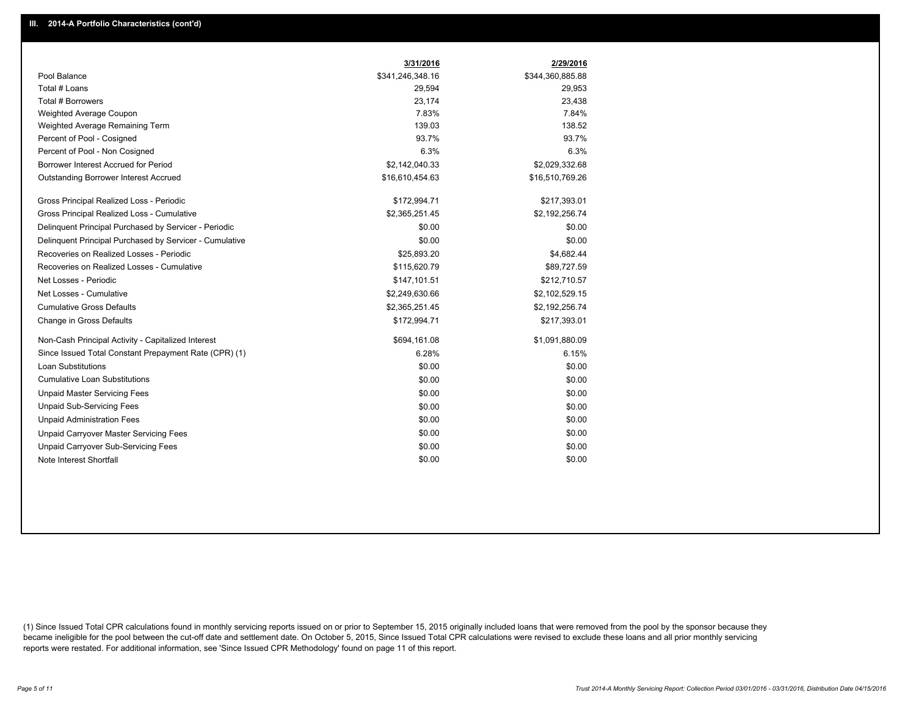|                                                         | 3/31/2016        | 2/29/2016        |
|---------------------------------------------------------|------------------|------------------|
| Pool Balance                                            | \$341,246,348.16 | \$344,360,885.88 |
| Total # Loans                                           | 29,594           | 29,953           |
| Total # Borrowers                                       | 23,174           | 23,438           |
| Weighted Average Coupon                                 | 7.83%            | 7.84%            |
| Weighted Average Remaining Term                         | 139.03           | 138.52           |
| Percent of Pool - Cosigned                              | 93.7%            | 93.7%            |
| Percent of Pool - Non Cosigned                          | 6.3%             | 6.3%             |
| Borrower Interest Accrued for Period                    | \$2,142,040.33   | \$2,029,332.68   |
| Outstanding Borrower Interest Accrued                   | \$16,610,454.63  | \$16,510,769.26  |
| Gross Principal Realized Loss - Periodic                | \$172,994.71     | \$217,393.01     |
| Gross Principal Realized Loss - Cumulative              | \$2,365,251.45   | \$2,192,256.74   |
| Delinquent Principal Purchased by Servicer - Periodic   | \$0.00           | \$0.00           |
| Delinquent Principal Purchased by Servicer - Cumulative | \$0.00           | \$0.00           |
| Recoveries on Realized Losses - Periodic                | \$25,893.20      | \$4,682.44       |
| Recoveries on Realized Losses - Cumulative              | \$115,620.79     | \$89,727.59      |
| Net Losses - Periodic                                   | \$147,101.51     | \$212,710.57     |
| Net Losses - Cumulative                                 | \$2,249,630.66   | \$2,102,529.15   |
| <b>Cumulative Gross Defaults</b>                        | \$2,365,251.45   | \$2,192,256.74   |
| Change in Gross Defaults                                | \$172,994.71     | \$217,393.01     |
| Non-Cash Principal Activity - Capitalized Interest      | \$694,161.08     | \$1,091,880.09   |
| Since Issued Total Constant Prepayment Rate (CPR) (1)   | 6.28%            | 6.15%            |
| Loan Substitutions                                      | \$0.00           | \$0.00           |
| <b>Cumulative Loan Substitutions</b>                    | \$0.00           | \$0.00           |
| <b>Unpaid Master Servicing Fees</b>                     | \$0.00           | \$0.00           |
| <b>Unpaid Sub-Servicing Fees</b>                        | \$0.00           | \$0.00           |
| <b>Unpaid Administration Fees</b>                       | \$0.00           | \$0.00           |
| Unpaid Carryover Master Servicing Fees                  | \$0.00           | \$0.00           |
| Unpaid Carryover Sub-Servicing Fees                     | \$0.00           | \$0.00           |
| Note Interest Shortfall                                 | \$0.00           | \$0.00           |

(1) Since Issued Total CPR calculations found in monthly servicing reports issued on or prior to September 15, 2015 originally included loans that were removed from the pool by the sponsor because they became ineligible for the pool between the cut-off date and settlement date. On October 5, 2015, Since Issued Total CPR calculations were revised to exclude these loans and all prior monthly servicing reports were restated. For additional information, see 'Since Issued CPR Methodology' found on page 11 of this report.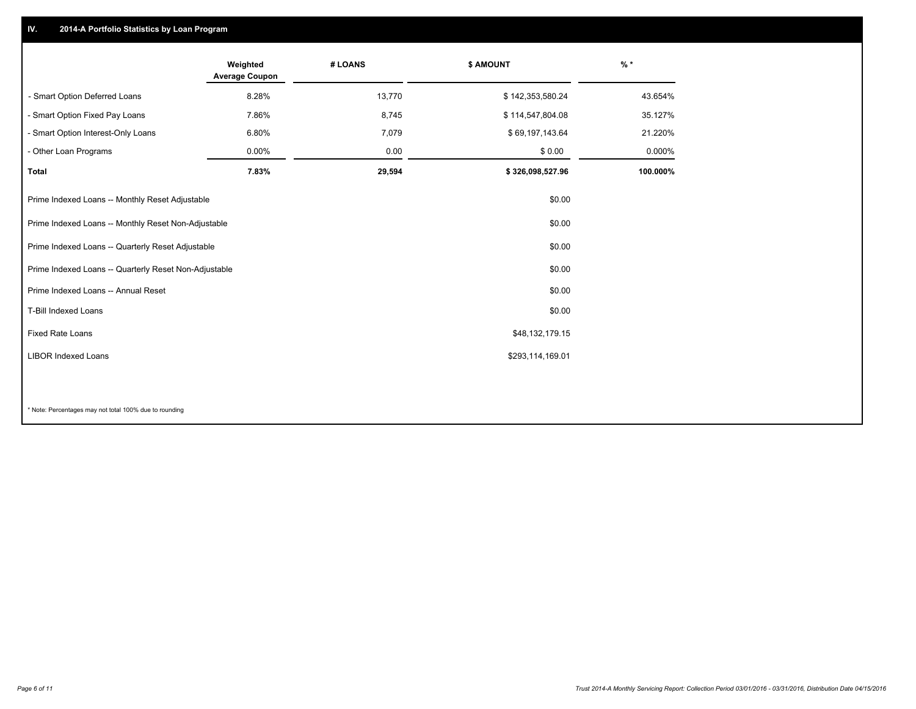## **IV. 2014-A Portfolio Statistics by Loan Program**

|                                                       | Weighted<br><b>Average Coupon</b> | # LOANS | \$ AMOUNT        | $%$ *    |
|-------------------------------------------------------|-----------------------------------|---------|------------------|----------|
| - Smart Option Deferred Loans                         | 8.28%                             | 13,770  | \$142,353,580.24 | 43.654%  |
| - Smart Option Fixed Pay Loans                        | 7.86%                             | 8,745   | \$114,547,804.08 | 35.127%  |
| - Smart Option Interest-Only Loans                    | 6.80%                             | 7,079   | \$69,197,143.64  | 21.220%  |
| - Other Loan Programs                                 | $0.00\%$                          | 0.00    | \$0.00           | 0.000%   |
| <b>Total</b>                                          | 7.83%                             | 29,594  | \$326,098,527.96 | 100.000% |
| Prime Indexed Loans -- Monthly Reset Adjustable       |                                   |         | \$0.00           |          |
| Prime Indexed Loans -- Monthly Reset Non-Adjustable   |                                   |         | \$0.00           |          |
| Prime Indexed Loans -- Quarterly Reset Adjustable     |                                   |         | \$0.00           |          |
| Prime Indexed Loans -- Quarterly Reset Non-Adjustable |                                   |         | \$0.00           |          |
| Prime Indexed Loans -- Annual Reset                   |                                   |         | \$0.00           |          |
| T-Bill Indexed Loans                                  |                                   |         | \$0.00           |          |
| Fixed Rate Loans                                      |                                   |         | \$48,132,179.15  |          |
| <b>LIBOR Indexed Loans</b>                            |                                   |         | \$293,114,169.01 |          |
|                                                       |                                   |         |                  |          |

\* Note: Percentages may not total 100% due to rounding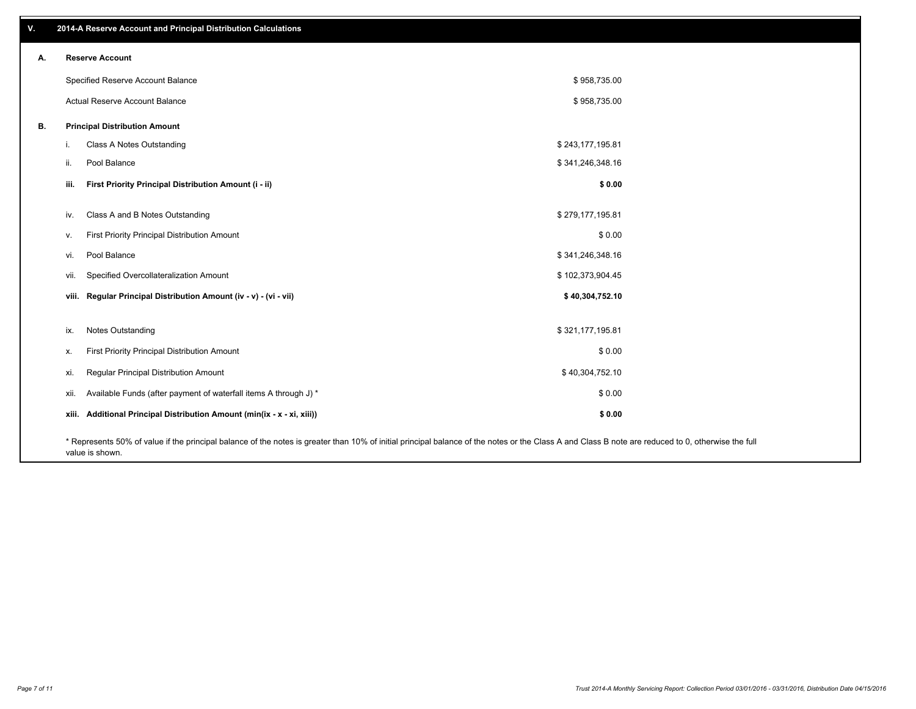| V. |       | 2014-A Reserve Account and Principal Distribution Calculations                                                                                                                                                        |                  |  |
|----|-------|-----------------------------------------------------------------------------------------------------------------------------------------------------------------------------------------------------------------------|------------------|--|
| А. |       | <b>Reserve Account</b>                                                                                                                                                                                                |                  |  |
|    |       | Specified Reserve Account Balance                                                                                                                                                                                     | \$958,735.00     |  |
|    |       | Actual Reserve Account Balance                                                                                                                                                                                        | \$958,735.00     |  |
| В. |       | <b>Principal Distribution Amount</b>                                                                                                                                                                                  |                  |  |
|    | j.    | Class A Notes Outstanding                                                                                                                                                                                             | \$243,177,195.81 |  |
|    | ii.   | Pool Balance                                                                                                                                                                                                          | \$341,246,348.16 |  |
|    | iii.  | First Priority Principal Distribution Amount (i - ii)                                                                                                                                                                 | \$0.00           |  |
|    |       |                                                                                                                                                                                                                       |                  |  |
|    | iv.   | Class A and B Notes Outstanding                                                                                                                                                                                       | \$279,177,195.81 |  |
|    | v.    | First Priority Principal Distribution Amount                                                                                                                                                                          | \$0.00           |  |
|    | vi.   | Pool Balance                                                                                                                                                                                                          | \$341,246,348.16 |  |
|    | vii.  | Specified Overcollateralization Amount                                                                                                                                                                                | \$102,373,904.45 |  |
|    |       | viii. Regular Principal Distribution Amount (iv - v) - (vi - vii)                                                                                                                                                     | \$40,304,752.10  |  |
|    |       |                                                                                                                                                                                                                       |                  |  |
|    | ix.   | Notes Outstanding                                                                                                                                                                                                     | \$321,177,195.81 |  |
|    | х.    | First Priority Principal Distribution Amount                                                                                                                                                                          | \$0.00           |  |
|    | xi.   | Regular Principal Distribution Amount                                                                                                                                                                                 | \$40,304,752.10  |  |
|    | xii.  | Available Funds (after payment of waterfall items A through J) *                                                                                                                                                      | \$0.00           |  |
|    | xiii. | Additional Principal Distribution Amount (min(ix - x - xi, xiii))                                                                                                                                                     | \$0.00           |  |
|    |       | * Represents 50% of value if the principal balance of the notes is greater than 10% of initial principal balance of the notes or the Class A and Class B note are reduced to 0, otherwise the full<br>value is shown. |                  |  |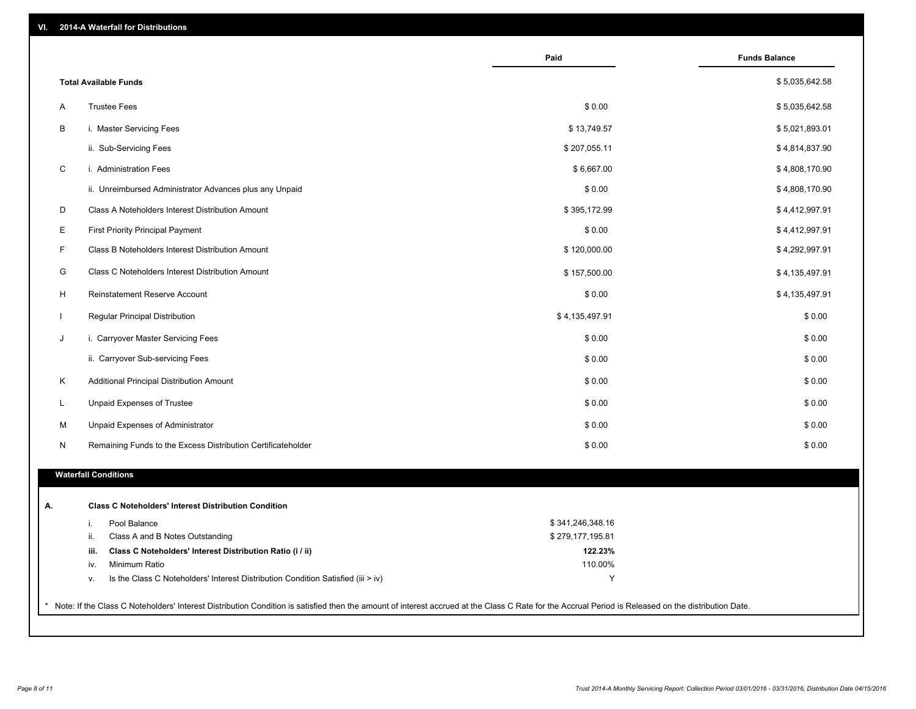| VI. |  | 2014-A Waterfall for Distributions |  |  |  |
|-----|--|------------------------------------|--|--|--|
|-----|--|------------------------------------|--|--|--|

|                                                                                        | Paid             | <b>Funds Balance</b> |
|----------------------------------------------------------------------------------------|------------------|----------------------|
| <b>Total Available Funds</b>                                                           |                  | \$5,035,642.58       |
| <b>Trustee Fees</b><br>A                                                               | \$0.00           | \$5,035,642.58       |
| B<br>i. Master Servicing Fees                                                          | \$13,749.57      | \$5,021,893.01       |
| ii. Sub-Servicing Fees                                                                 | \$207,055.11     | \$4,814,837.90       |
| $\mathsf C$<br>i. Administration Fees                                                  | \$6,667.00       | \$4,808,170.90       |
| ii. Unreimbursed Administrator Advances plus any Unpaid                                | \$0.00           | \$4,808,170.90       |
| D<br>Class A Noteholders Interest Distribution Amount                                  | \$395,172.99     | \$4,412,997.91       |
| Е<br><b>First Priority Principal Payment</b>                                           | \$0.00           | \$4,412,997.91       |
| F<br>Class B Noteholders Interest Distribution Amount                                  | \$120,000.00     | \$4,292,997.91       |
| G<br>Class C Noteholders Interest Distribution Amount                                  | \$157,500.00     | \$4,135,497.91       |
| H<br>Reinstatement Reserve Account                                                     | \$0.00           | \$4,135,497.91       |
| T.<br>Regular Principal Distribution                                                   | \$4,135,497.91   | \$0.00               |
| J<br>i. Carryover Master Servicing Fees                                                | \$0.00           | \$0.00               |
| ii. Carryover Sub-servicing Fees                                                       | \$0.00           | \$0.00               |
| Κ<br>Additional Principal Distribution Amount                                          | \$0.00           | \$0.00               |
| L.                                                                                     | \$0.00           | \$0.00               |
| Unpaid Expenses of Trustee                                                             |                  |                      |
| M<br>Unpaid Expenses of Administrator                                                  | \$0.00           | \$0.00               |
| Remaining Funds to the Excess Distribution Certificateholder<br>N                      | \$0.00           | \$0.00               |
| <b>Waterfall Conditions</b>                                                            |                  |                      |
| <b>Class C Noteholders' Interest Distribution Condition</b>                            |                  |                      |
| Pool Balance<br>i.                                                                     | \$341,246,348.16 |                      |
| ii.<br>Class A and B Notes Outstanding                                                 | \$279,177,195.81 |                      |
| Class C Noteholders' Interest Distribution Ratio (i / ii)<br>iii.                      | 122.23%          |                      |
| Minimum Ratio<br>iv.                                                                   | 110.00%          |                      |
| Is the Class C Noteholders' Interest Distribution Condition Satisfied (iii > iv)<br>٧. | Υ                |                      |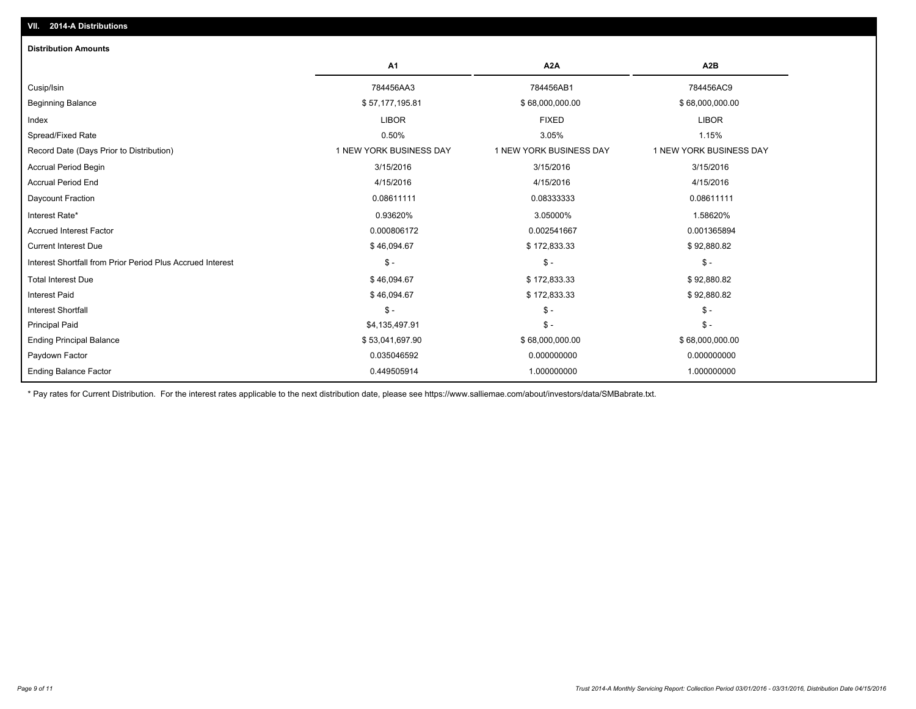| <b>Distribution Amounts</b>                                |                         |                         |                         |
|------------------------------------------------------------|-------------------------|-------------------------|-------------------------|
|                                                            | A1                      | A <sub>2</sub> A        | A <sub>2</sub> B        |
| Cusip/Isin                                                 | 784456AA3               | 784456AB1               | 784456AC9               |
| <b>Beginning Balance</b>                                   | \$57,177,195.81         | \$68,000,000.00         | \$68,000,000.00         |
| Index                                                      | <b>LIBOR</b>            | <b>FIXED</b>            | <b>LIBOR</b>            |
| Spread/Fixed Rate                                          | 0.50%                   | 3.05%                   | 1.15%                   |
| Record Date (Days Prior to Distribution)                   | 1 NEW YORK BUSINESS DAY | 1 NEW YORK BUSINESS DAY | 1 NEW YORK BUSINESS DAY |
| <b>Accrual Period Begin</b>                                | 3/15/2016               | 3/15/2016               | 3/15/2016               |
| <b>Accrual Period End</b>                                  | 4/15/2016               | 4/15/2016               | 4/15/2016               |
| Daycount Fraction                                          | 0.08611111              | 0.08333333              | 0.08611111              |
| Interest Rate*                                             | 0.93620%                | 3.05000%                | 1.58620%                |
| <b>Accrued Interest Factor</b>                             | 0.000806172             | 0.002541667             | 0.001365894             |
| <b>Current Interest Due</b>                                | \$46,094.67             | \$172,833.33            | \$92,880.82             |
| Interest Shortfall from Prior Period Plus Accrued Interest | $\mathsf{\$}$ -         | $\mathsf{\$}$ -         | $S -$                   |
| <b>Total Interest Due</b>                                  | \$46,094.67             | \$172,833.33            | \$92,880.82             |
| <b>Interest Paid</b>                                       | \$46,094.67             | \$172,833.33            | \$92,880.82             |
| <b>Interest Shortfall</b>                                  | $\mathsf{\$}$ -         | $\mathsf{\$}$ -         | $S -$                   |
| <b>Principal Paid</b>                                      | \$4,135,497.91          | $\mathsf{\$}$ -         | $S -$                   |
| <b>Ending Principal Balance</b>                            | \$53,041,697.90         | \$68,000,000.00         | \$68,000,000.00         |
| Paydown Factor                                             | 0.035046592             | 0.000000000             | 0.000000000             |
| <b>Ending Balance Factor</b>                               | 0.449505914             | 1.000000000             | 1.000000000             |

\* Pay rates for Current Distribution. For the interest rates applicable to the next distribution date, please see https://www.salliemae.com/about/investors/data/SMBabrate.txt.

**VII. 2014-A Distributions**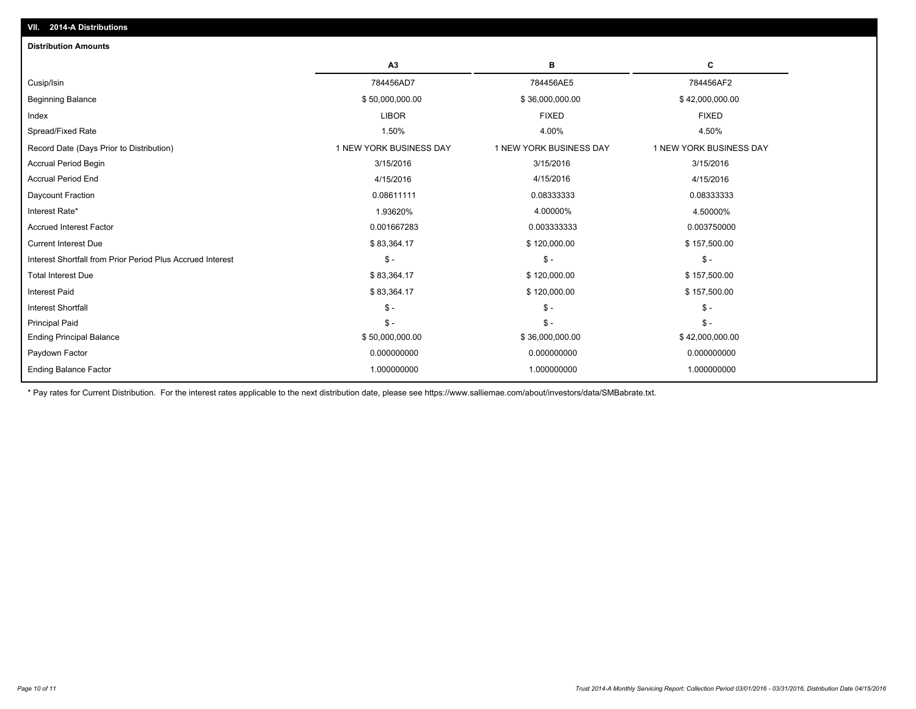| <b>Distribution Amounts</b>                                |                         |                         |                         |
|------------------------------------------------------------|-------------------------|-------------------------|-------------------------|
|                                                            | A3                      | в                       | С                       |
| Cusip/Isin                                                 | 784456AD7               | 784456AE5               | 784456AF2               |
| <b>Beginning Balance</b>                                   | \$50,000,000.00         | \$36,000,000.00         | \$42,000,000.00         |
| Index                                                      | <b>LIBOR</b>            | <b>FIXED</b>            | <b>FIXED</b>            |
| Spread/Fixed Rate                                          | 1.50%                   | 4.00%                   | 4.50%                   |
| Record Date (Days Prior to Distribution)                   | 1 NEW YORK BUSINESS DAY | 1 NEW YORK BUSINESS DAY | 1 NEW YORK BUSINESS DAY |
| <b>Accrual Period Begin</b>                                | 3/15/2016               | 3/15/2016               | 3/15/2016               |
| <b>Accrual Period End</b>                                  | 4/15/2016               | 4/15/2016               | 4/15/2016               |
| Daycount Fraction                                          | 0.08611111              | 0.08333333              | 0.08333333              |
| Interest Rate*                                             | 1.93620%                | 4.00000%                | 4.50000%                |
| <b>Accrued Interest Factor</b>                             | 0.001667283             | 0.003333333             | 0.003750000             |
| <b>Current Interest Due</b>                                | \$83,364.17             | \$120,000.00            | \$157,500.00            |
| Interest Shortfall from Prior Period Plus Accrued Interest | $$ -$                   | $\mathcal{S}$ -         | $\mathsf{\$}$ -         |
| <b>Total Interest Due</b>                                  | \$83,364.17             | \$120,000.00            | \$157,500.00            |
| <b>Interest Paid</b>                                       | \$83,364.17             | \$120,000.00            | \$157,500.00            |
| <b>Interest Shortfall</b>                                  | $S -$                   | $\mathcal{S}$ -         | $\mathsf{\$}$ -         |
| <b>Principal Paid</b>                                      | $S -$                   | $\mathsf{\$}$ -         | $\mathsf{\$}$ -         |
| <b>Ending Principal Balance</b>                            | \$50,000,000.00         | \$36,000,000.00         | \$42,000,000.00         |
| Paydown Factor                                             | 0.000000000             | 0.000000000             | 0.000000000             |
| <b>Ending Balance Factor</b>                               | 1.000000000             | 1.000000000             | 1.000000000             |
|                                                            |                         |                         |                         |

\* Pay rates for Current Distribution. For the interest rates applicable to the next distribution date, please see https://www.salliemae.com/about/investors/data/SMBabrate.txt.

**VII. 2014-A Distributions**